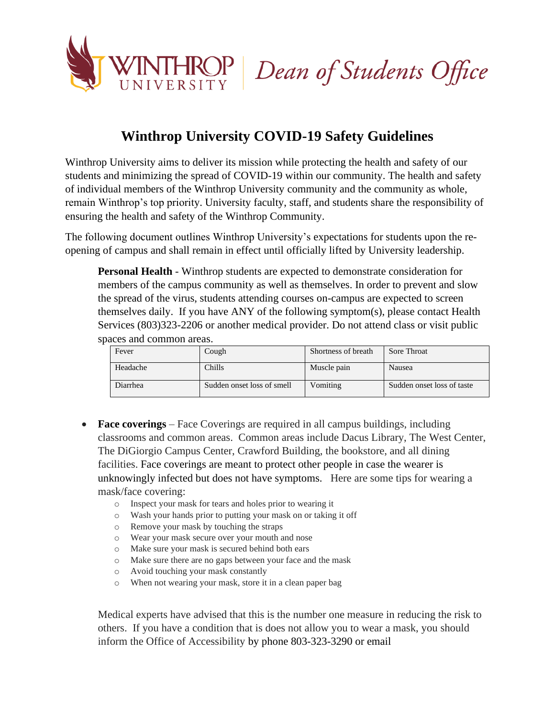



## **Winthrop University COVID-19 Safety Guidelines**

Winthrop University aims to deliver its mission while protecting the health and safety of our students and minimizing the spread of COVID-19 within our community. The health and safety of individual members of the Winthrop University community and the community as whole, remain Winthrop's top priority. University faculty, staff, and students share the responsibility of ensuring the health and safety of the Winthrop Community.

The following document outlines Winthrop University's expectations for students upon the reopening of campus and shall remain in effect until officially lifted by University leadership.

**Personal Health** - Winthrop students are expected to demonstrate consideration for members of the campus community as well as themselves. In order to prevent and slow the spread of the virus, students attending courses on-campus are expected to screen themselves daily. If you have ANY of the following symptom(s), please contact Health Services (803)323-2206 or another medical provider. Do not attend class or visit public spaces and common areas.

| Fever    | Cough                      | Shortness of breath | Sore Throat                |
|----------|----------------------------|---------------------|----------------------------|
| Headache | Chills                     | Muscle pain         | Nausea                     |
| Diarrhea | Sudden onset loss of smell | Vomiting            | Sudden onset loss of taste |

- **Face coverings** Face Coverings are required in all campus buildings, including classrooms and common areas. Common areas include Dacus Library, The West Center, The DiGiorgio Campus Center, Crawford Building, the bookstore, and all dining facilities. Face coverings are meant to protect other people in case the wearer is unknowingly infected but does not have symptoms. Here are some tips for wearing a mask/face covering:
	- o Inspect your mask for tears and holes prior to wearing it
	- o Wash your hands prior to putting your mask on or taking it off
	- o Remove your mask by touching the straps
	- o Wear your mask secure over your mouth and nose
	- o Make sure your mask is secured behind both ears
	- o Make sure there are no gaps between your face and the mask
	- o Avoid touching your mask constantly
	- o When not wearing your mask, store it in a clean paper bag

Medical experts have advised that this is the number one measure in reducing the risk to others. If you have a condition that is does not allow you to wear a mask, you should inform the Office of Accessibility by phone 803-323-3290 or email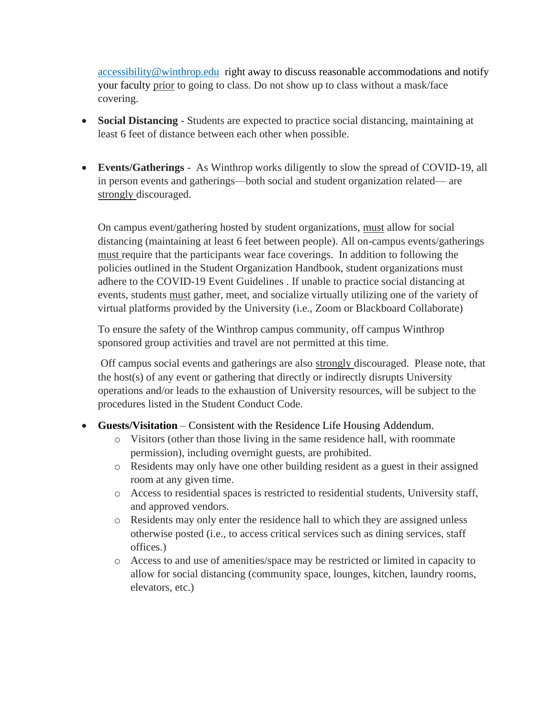[accessibility@winthrop.edu](mailto:accessibility@winthrop.edu) right away to discuss reasonable accommodations and notify your faculty prior to going to class. Do not show up to class without a mask/face covering.

- **Social Distancing** Students are expected to practice social distancing, maintaining at least 6 feet of distance between each other when possible.
- **Events/Gatherings** As Winthrop works diligently to slow the spread of COVID-19, all in person events and gatherings—both social and student organization related— are strongly discouraged.

On campus event/gathering hosted by student organizations, must allow for social distancing (maintaining at least 6 feet between people). All on-campus events/gatherings must require that the participants wear face coverings. In addition to following the policies outlined in the Student Organization Handbook, student organizations must adhere to the COVID-19 Event Guidelines . If unable to practice social distancing at events, students must gather, meet, and socialize virtually utilizing one of the variety of virtual platforms provided by the University (i.e., Zoom or Blackboard Collaborate)

To ensure the safety of the Winthrop campus community, off campus Winthrop sponsored group activities and travel are not permitted at this time.

Off campus social events and gatherings are also strongly discouraged. Please note, that the host(s) of any event or gathering that directly or indirectly disrupts University operations and/or leads to the exhaustion of University resources, will be subject to the procedures listed in the Student Conduct Code.

## • **Guests/Visitation** – Consistent with the Residence Life Housing Addendum.

- o Visitors (other than those living in the same residence hall, with roommate permission), including overnight guests, are prohibited.
- o Residents may only have one other building resident as a guest in their assigned room at any given time.
- o Access to residential spaces is restricted to residential students, University staff, and approved vendors.
- o Residents may only enter the residence hall to which they are assigned unless otherwise posted (i.e., to access critical services such as dining services, staff offices.)
- o Access to and use of amenities/space may be restricted or limited in capacity to allow for social distancing (community space, lounges, kitchen, laundry rooms, elevators, etc.)